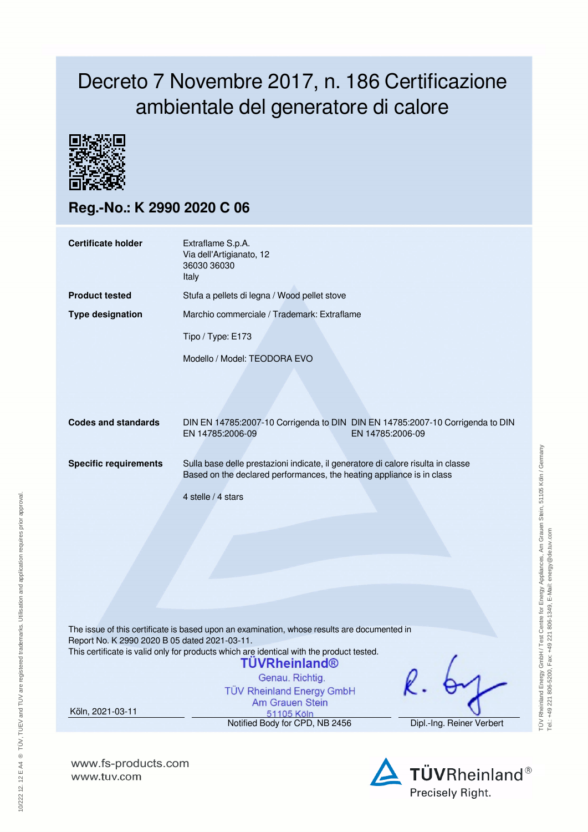## Decreto 7 Novembre 2017, n. 186 Certificazione ambientale del generatore di calore



**Reg.-No.: K 2990 2020 C 06**

| <b>Certificate holder</b>                                         | Extraflame S.p.A.<br>Via dell'Artigianato, 12<br>36030 36030<br>Italy                                                                                                                                                                                                                                                                                                  |  |  |  |  |  |
|-------------------------------------------------------------------|------------------------------------------------------------------------------------------------------------------------------------------------------------------------------------------------------------------------------------------------------------------------------------------------------------------------------------------------------------------------|--|--|--|--|--|
| <b>Product tested</b>                                             | Stufa a pellets di legna / Wood pellet stove                                                                                                                                                                                                                                                                                                                           |  |  |  |  |  |
| <b>Type designation</b>                                           | Marchio commerciale / Trademark: Extraflame                                                                                                                                                                                                                                                                                                                            |  |  |  |  |  |
|                                                                   | Tipo / Type: E173                                                                                                                                                                                                                                                                                                                                                      |  |  |  |  |  |
|                                                                   | Modello / Model: TEODORA EVO                                                                                                                                                                                                                                                                                                                                           |  |  |  |  |  |
| <b>Codes and standards</b>                                        | DIN EN 14785:2007-10 Corrigenda to DIN DIN EN 14785:2007-10 Corrigenda to DIN<br>EN 14785:2006-09<br>EN 14785:2006-09                                                                                                                                                                                                                                                  |  |  |  |  |  |
| <b>Specific requirements</b>                                      | Sulla base delle prestazioni indicate, il generatore di calore risulta in classe<br>Based on the declared performances, the heating appliance is in class                                                                                                                                                                                                              |  |  |  |  |  |
|                                                                   | 4 stelle / 4 stars                                                                                                                                                                                                                                                                                                                                                     |  |  |  |  |  |
| Report No. K 2990 2020 B 05 dated 2021-03-11.<br>Köln, 2021-03-11 | The issue of this certificate is based upon an examination, whose results are documented in<br>This certificate is valid only for products which are identical with the product tested.<br><b>TÜVRheinland®</b><br>Genau. Richtig.<br><b>TÜV Rheinland Energy GmbH</b><br>Am Grauen Stein<br>51105 Köln<br>Notified Body for CPD, NB 2456<br>Dipl.-Ing. Reiner Verbert |  |  |  |  |  |
|                                                                   |                                                                                                                                                                                                                                                                                                                                                                        |  |  |  |  |  |

**www.fs-products.com** www.tuv.com



TÜV Rheinland Energy GmbH / Test Centre for Energy Appliances, Am Grauen Stein, 51105 Köln / Germany

TÜV Rheinland Energy GmbH / Test Centre for Energy Appliances, Am Grauen Stein, 51105 Köln / Germany<br>Tel:. +49 221 806-5200, Fax: +49 221 806-1349, E-Mail: energy@de.tuv.com

Tel.: +49 221 806-5200, Fax: +49 221 806-1349, E-Mail: energy@de.tuv.com